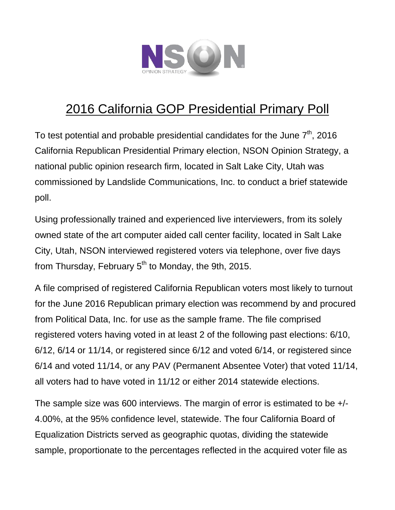

# 2016 California GOP Presidential Primary Poll

To test potential and probable presidential candidates for the June  $7^{\text{th}}$ , 2016 California Republican Presidential Primary election, NSON Opinion Strategy, a national public opinion research firm, located in Salt Lake City, Utah was commissioned by Landslide Communications, Inc. to conduct a brief statewide poll.

Using professionally trained and experienced live interviewers, from its solely owned state of the art computer aided call center facility, located in Salt Lake City, Utah, NSON interviewed registered voters via telephone, over five days from Thursday, February  $5<sup>th</sup>$  to Monday, the 9th, 2015.

A file comprised of registered California Republican voters most likely to turnout for the June 2016 Republican primary election was recommend by and procured from Political Data, Inc. for use as the sample frame. The file comprised registered voters having voted in at least 2 of the following past elections: 6/10, 6/12, 6/14 or 11/14, or registered since 6/12 and voted 6/14, or registered since 6/14 and voted 11/14, or any PAV (Permanent Absentee Voter) that voted 11/14, all voters had to have voted in 11/12 or either 2014 statewide elections.

The sample size was 600 interviews. The margin of error is estimated to be +/- 4.00%, at the 95% confidence level, statewide. The four California Board of Equalization Districts served as geographic quotas, dividing the statewide sample, proportionate to the percentages reflected in the acquired voter file as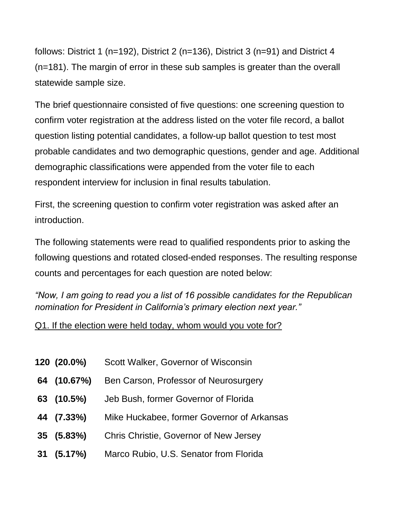follows: District 1 (n=192), District 2 (n=136), District 3 (n=91) and District 4 (n=181). The margin of error in these sub samples is greater than the overall statewide sample size.

The brief questionnaire consisted of five questions: one screening question to confirm voter registration at the address listed on the voter file record, a ballot question listing potential candidates, a follow-up ballot question to test most probable candidates and two demographic questions, gender and age. Additional demographic classifications were appended from the voter file to each respondent interview for inclusion in final results tabulation.

First, the screening question to confirm voter registration was asked after an introduction.

The following statements were read to qualified respondents prior to asking the following questions and rotated closed-ended responses. The resulting response counts and percentages for each question are noted below:

*"Now, I am going to read you a list of 16 possible candidates for the Republican nomination for President in California's primary election next year."*

## Q1. If the election were held today, whom would you vote for?

- **120 (20.0%)** Scott Walker, Governor of Wisconsin
- **64 (10.67%)** Ben Carson, Professor of Neurosurgery
- **63 (10.5%)** Jeb Bush, former Governor of Florida
- **44 (7.33%)** Mike Huckabee, former Governor of Arkansas
- **35 (5.83%)** Chris Christie, Governor of New Jersey
- **31 (5.17%)** Marco Rubio, U.S. Senator from Florida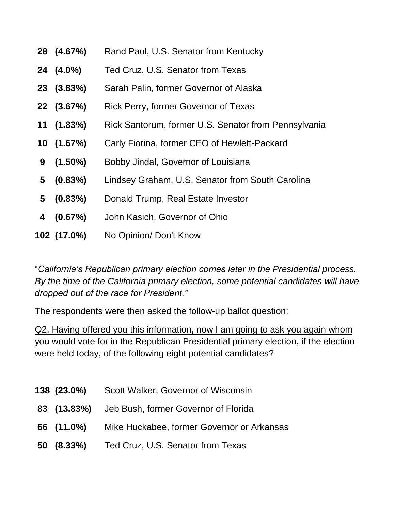|    | 28 (4.67%)  | Rand Paul, U.S. Senator from Kentucky                |
|----|-------------|------------------------------------------------------|
|    | 24 (4.0%)   | Ted Cruz, U.S. Senator from Texas                    |
|    | 23 (3.83%)  | Sarah Palin, former Governor of Alaska               |
|    | 22 (3.67%)  | Rick Perry, former Governor of Texas                 |
| 11 | $(1.83\%)$  | Rick Santorum, former U.S. Senator from Pennsylvania |
|    | 10(1.67%)   | Carly Fiorina, former CEO of Hewlett-Packard         |
| 9  | $(1.50\%)$  | Bobby Jindal, Governor of Louisiana                  |
| 5  | $(0.83\%)$  | Lindsey Graham, U.S. Senator from South Carolina     |
| 5  | $(0.83\%)$  | Donald Trump, Real Estate Investor                   |
| 4  | (0.67%)     | John Kasich, Governor of Ohio                        |
|    | 102 (17.0%) | No Opinion/ Don't Know                               |

"*California's Republican primary election comes later in the Presidential process. By the time of the California primary election, some potential candidates will have dropped out of the race for President."*

The respondents were then asked the follow-up ballot question:

Q2. Having offered you this information, now I am going to ask you again whom you would vote for in the Republican Presidential primary election, if the election were held today, of the following eight potential candidates?

- **138 (23.0%)** Scott Walker, Governor of Wisconsin
- **83 (13.83%)** Jeb Bush, former Governor of Florida
- **66 (11.0%)** Mike Huckabee, former Governor or Arkansas
- **50 (8.33%)** Ted Cruz, U.S. Senator from Texas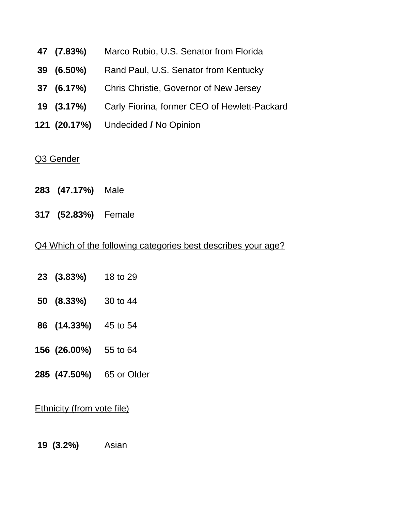- **47 (7.83%)** Marco Rubio, U.S. Senator from Florida
- **39 (6.50%)** Rand Paul, U.S. Senator from Kentucky
- **37 (6.17%)** Chris Christie, Governor of New Jersey
- **19 (3.17%)** Carly Fiorina, former CEO of Hewlett-Packard
- **121 (20.17%)** Undecided **/** No Opinion

#### Q3 Gender

- **283 (47.17%)** Male
- **317 (52.83%)** Female

#### Q4 Which of the following categories best describes your age?

- **23 (3.83%)** 18 to 29
- **50 (8.33%)** 30 to 44
- **86 (14.33%)** 45 to 54
- **156 (26.00%)** 55 to 64
- **285 (47.50%)** 65 or Older

### Ethnicity (from vote file)

**19 (3.2%)** Asian